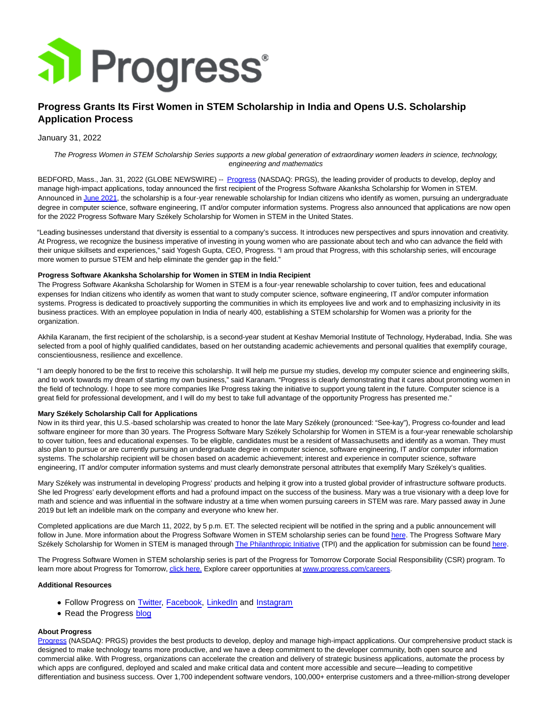

# **Progress Grants Its First Women in STEM Scholarship in India and Opens U.S. Scholarship Application Process**

## January 31, 2022

The Progress Women in STEM Scholarship Series supports a new global generation of extraordinary women leaders in science, technology, engineering and mathematics

BEDFORD, Mass., Jan. 31, 2022 (GLOBE NEWSWIRE) -- [Progress \(](https://www.globenewswire.com/Tracker?data=XAOXXRtvADDrbYfdwZ7S7lePvLsH3wCj5mfzdPrWm37TXLRS8h23MN5UggMXejFanYs4pwb3hbm3Ozg139kDlA==)NASDAQ: PRGS), the leading provider of products to develop, deploy and manage high-impact applications, today announced the first recipient of the Progress Software Akanksha Scholarship for Women in STEM. Announced in [June 2021,](https://www.globenewswire.com/Tracker?data=MyTpqs9txyWSkWOt_sYN0BO4rMMy5QbudR-o9fbapk6KP-bClAeJpdkB92YDs38lIoC2nl6XYwqEpCuFMWCDuPmdt_1dapOET8e6ygglb-K72a0L4nMM5XR7MoY2hFQH3vDATFrXiWc6xWXmf0fbHNlu-fWVdS-KQOB4WIGM9k5QbA25LUS0q1weHvGRsWXXTlZK38qq8JXoU6GFnYu6gA==) the scholarship is a four-year renewable scholarship for Indian citizens who identify as women, pursuing an undergraduate degree in computer science, software engineering, IT and/or computer information systems. Progress also announced that applications are now open for the 2022 Progress Software Mary Székely Scholarship for Women in STEM in the United States.

"Leading businesses understand that diversity is essential to a company's success. It introduces new perspectives and spurs innovation and creativity. At Progress, we recognize the business imperative of investing in young women who are passionate about tech and who can advance the field with their unique skillsets and experiences," said Yogesh Gupta, CEO, Progress. "I am proud that Progress, with this scholarship series, will encourage more women to pursue STEM and help eliminate the gender gap in the field."

## **Progress Software Akanksha Scholarship for Women in STEM in India Recipient**

The Progress Software Akanksha Scholarship for Women in STEM is a four-year renewable scholarship to cover tuition, fees and educational expenses for Indian citizens who identify as women that want to study computer science, software engineering, IT and/or computer information systems. Progress is dedicated to proactively supporting the communities in which its employees live and work and to emphasizing inclusivity in its business practices. With an employee population in India of nearly 400, establishing a STEM scholarship for Women was a priority for the organization.

Akhila Karanam, the first recipient of the scholarship, is a second-year student at Keshav Memorial Institute of Technology, Hyderabad, India. She was selected from a pool of highly qualified candidates, based on her outstanding academic achievements and personal qualities that exemplify courage, conscientiousness, resilience and excellence.

"I am deeply honored to be the first to receive this scholarship. It will help me pursue my studies, develop my computer science and engineering skills, and to work towards my dream of starting my own business," said Karanam. "Progress is clearly demonstrating that it cares about promoting women in the field of technology. I hope to see more companies like Progress taking the initiative to support young talent in the future. Computer science is a great field for professional development, and I will do my best to take full advantage of the opportunity Progress has presented me."

#### **Mary Székely Scholarship Call for Applications**

Now in its third year, this U.S.-based scholarship was created to honor the late Mary Székely (pronounced: "See-kay"), Progress co-founder and lead software engineer for more than 30 years. The Progress Software Mary Székely Scholarship for Women in STEM is a four-year renewable scholarship to cover tuition, fees and educational expenses. To be eligible, candidates must be a resident of Massachusetts and identify as a woman. They must also plan to pursue or are currently pursuing an undergraduate degree in computer science, software engineering, IT and/or computer information systems. The scholarship recipient will be chosen based on academic achievement; interest and experience in computer science, software engineering, IT and/or computer information systems and must clearly demonstrate personal attributes that exemplify Mary Székely's qualities.

Mary Székely was instrumental in developing Progress' products and helping it grow into a trusted global provider of infrastructure software products. She led Progress' early development efforts and had a profound impact on the success of the business. Mary was a true visionary with a deep love for math and science and was influential in the software industry at a time when women pursuing careers in STEM was rare. Mary passed away in June 2019 but left an indelible mark on the company and everyone who knew her.

Completed applications are due March 11, 2022, by 5 p.m. ET. The selected recipient will be notified in the spring and a public announcement will follow in June. More information about the Progress Software Women in STEM scholarship series can be foun[d here.](https://www.globenewswire.com/Tracker?data=iLlDR7A_NZOSXC0TSXAiwVDVrjlZ6t99XrKZYd1A4v-dcsc0fn4CFNpz3qOmsgpFoRfDEgK-aIWnfyR-dioG5DmOi8uy9EYXaerTkcWWx4fEud-JaAfQhrzNqCa2yNWskQDPODCOtKBpiVU0-ZyZ-g==) The Progress Software Mary Székely Scholarship for Women in STEM is managed throug[h The Philanthropic Initiative \(](https://www.globenewswire.com/Tracker?data=Ys5ARGxTQ9GaE-4dTJyzkKlxqLAeNL3Fw56cj0e4Xw0lWyOQj2DE9BSJQi-j5Q5Y9ElgIkRylcX98-aE6pkyh6SttLq0n53uUW3zjXJhNCs=)TPI) and the application for submission can be foun[d here.](https://www.globenewswire.com/Tracker?data=KNIiZGraD-X8Js97reoVPqkF-7BM1MmfLheiCC3kXlgU4l2whZI3ck3t1LOpJtWoRwvVl7nkGBU8lZLJKKqGeDVeTVJmnwromuYHjzDDJoGvSHRTzftUpjiS4aLAzQcMc1g082i25nqX0TOVSCFRsvY1umF3D3BMVXL3-GF7eDhxzngJK1qjz0weZ_eLtbRMKf5pmmIkqjwqocSQ3CBGJw==)

The Progress Software Women in STEM scholarship series is part of the Progress for Tomorrow Corporate Social Responsibility (CSR) program. To learn more about Progress for Tomorrow[, click here. E](https://www.globenewswire.com/Tracker?data=BvHQY2iFuSMRaCpAPLk43aolKDr1ZsPe8tFbZRPcCufv3jwCXoxJoqlNd5sz6TLS7mmA-rBFGM0XWB-DTLXYKw_armsh3uVcky8Dw1jqkzs=)xplore career opportunities a[t www.progress.com/careers.](https://www.globenewswire.com/Tracker?data=X78VSWxgq7-OesMmhNn-3H4LEz9remN6RVxbh2bc1fPNIgrYYfFp6_WY4ssd5GZ7gRvHHJsJmSrepNbfYVWKSLbVIl0yekBRUmWgfbRSPuI=)

#### **Additional Resources**

- Follow Progress on [Twitter,](https://twitter.com/ProgressSW) [Facebook,](https://www.facebook.com/progresssw) [LinkedIn](http://www.linkedin.com/company/progress-software) and [Instagram](https://www.instagram.com/progress_sw_/)
- Read the Progress [blog](https://www.progress.com/blogs)

## **About Progress**

[Progress \(](https://www.globenewswire.com/Tracker?data=XAOXXRtvADDrbYfdwZ7S7hDFJ0KevuveLdn1nu4MpsSgAIW9zCZSETm38qQIV4w0dKlQwcb0qrRqUI3wykN_Xw==)NASDAQ: PRGS) provides the best products to develop, deploy and manage high-impact applications. Our comprehensive product stack is designed to make technology teams more productive, and we have a deep commitment to the developer community, both open source and commercial alike. With Progress, organizations can accelerate the creation and delivery of strategic business applications, automate the process by which apps are configured, deployed and scaled and make critical data and content more accessible and secure—leading to competitive differentiation and business success. Over 1,700 independent software vendors, 100,000+ enterprise customers and a three-million-strong developer